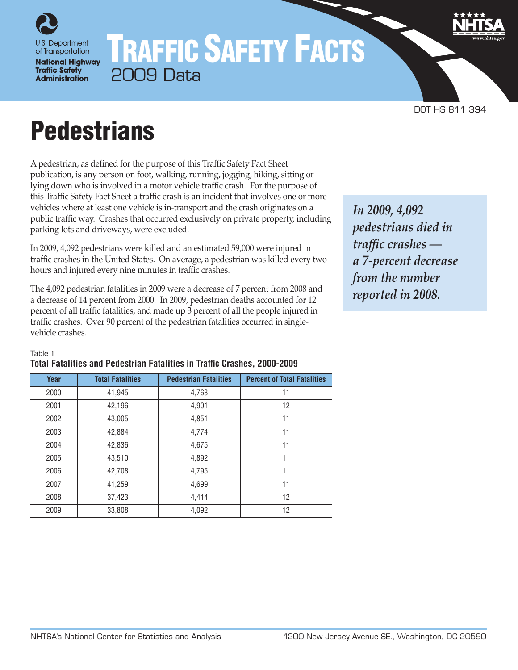

**National Highway Traffic Safety Administration** 

# TRAFFIC SAFETY FACTS 2009 Data

DOT HS 811 394

# **Pedestrians**

A pedestrian, as defined for the purpose of this Traffic Safety Fact Sheet publication, is any person on foot, walking, running, jogging, hiking, sitting or lying down who is involved in a motor vehicle traffic crash. For the purpose of this Traffic Safety Fact Sheet a traffic crash is an incident that involves one or more vehicles where at least one vehicle is in-transport and the crash originates on a public traffic way. Crashes that occurred exclusively on private property, including parking lots and driveways, were excluded.

In 2009, 4,092 pedestrians were killed and an estimated 59,000 were injured in traffic crashes in the United States. On average, a pedestrian was killed every two hours and injured every nine minutes in traffic crashes.

The 4,092 pedestrian fatalities in 2009 were a decrease of 7 percent from 2008 and a decrease of 14 percent from 2000. In 2009, pedestrian deaths accounted for 12 percent of all traffic fatalities, and made up 3 percent of all the people injured in traffic crashes. Over 90 percent of the pedestrian fatalities occurred in singlevehicle crashes.

*In 2009, 4,092 pedestrians died in traffic crashes a 7-percent decrease from the number reported in 2008.*

#### Table 1

## **Total Fatalities and Pedestrian Fatalities in Traffic Crashes, 2000-2009**

| Year | <b>Total Fatalities</b> | <b>Pedestrian Fatalities</b> | <b>Percent of Total Fatalities</b> |
|------|-------------------------|------------------------------|------------------------------------|
| 2000 | 41,945                  | 4,763                        | 11                                 |
| 2001 | 42,196                  | 4,901                        | 12                                 |
| 2002 | 43,005                  | 4,851                        | 11                                 |
| 2003 | 42,884                  | 4,774                        | 11                                 |
| 2004 | 42,836                  | 4,675                        | 11                                 |
| 2005 | 43,510                  | 4,892                        | 11                                 |
| 2006 | 42,708                  | 4,795                        | 11                                 |
| 2007 | 41,259                  | 4,699                        | 11                                 |
| 2008 | 37,423                  | 4.414                        | $12 \overline{ }$                  |
| 2009 | 33,808                  | 4,092                        | 12                                 |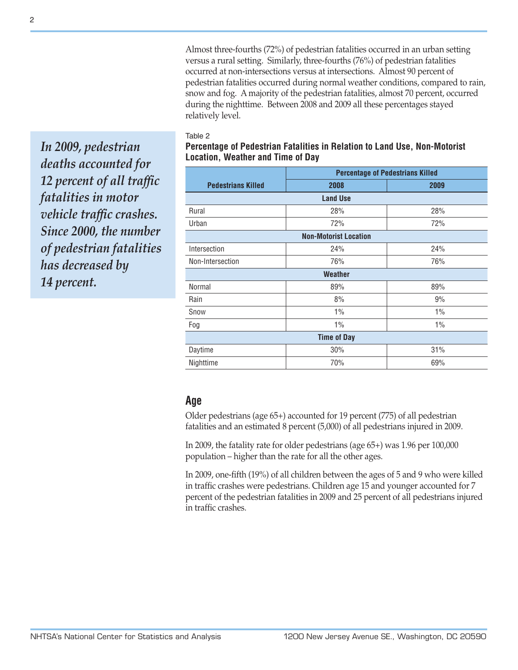Almost three-fourths (72%) of pedestrian fatalities occurred in an urban setting versus a rural setting. Similarly, three-fourths (76%) of pedestrian fatalities occurred at non-intersections versus at intersections. Almost 90 percent of pedestrian fatalities occurred during normal weather conditions, compared to rain, snow and fog. A majority of the pedestrian fatalities, almost 70 percent, occurred during the nighttime. Between 2008 and 2009 all these percentages stayed relatively level.

#### Table 2

*In 2009, pedestrian deaths accounted for 12 percent of all traffic fatalities in motor vehicle traffic crashes. Since 2000, the number of pedestrian fatalities has decreased by 14 percent.*

## **Percentage of Pedestrian Fatalities in Relation to Land Use, Non-Motorist Location, Weather and Time of Day**

|                           | <b>Percentage of Pedestrians Killed</b> |       |  |  |  |  |
|---------------------------|-----------------------------------------|-------|--|--|--|--|
| <b>Pedestrians Killed</b> | 2008                                    | 2009  |  |  |  |  |
|                           | <b>Land Use</b>                         |       |  |  |  |  |
| Rural                     | 28%                                     | 28%   |  |  |  |  |
| Urban                     | 72%                                     | 72%   |  |  |  |  |
|                           | <b>Non-Motorist Location</b>            |       |  |  |  |  |
| Intersection              | 24%                                     | 24%   |  |  |  |  |
| Non-Intersection          | 76%                                     | 76%   |  |  |  |  |
|                           | <b>Weather</b>                          |       |  |  |  |  |
| Normal                    | 89%                                     | 89%   |  |  |  |  |
| Rain                      | 8%                                      | 9%    |  |  |  |  |
| Snow                      | 1%                                      | $1\%$ |  |  |  |  |
| Fog                       | $1\%$                                   | $1\%$ |  |  |  |  |
|                           | <b>Time of Day</b>                      |       |  |  |  |  |
| Daytime                   | 30%                                     | 31%   |  |  |  |  |
| Nighttime                 | 70%                                     | 69%   |  |  |  |  |

## **Age**

Older pedestrians (age 65+) accounted for 19 percent (775) of all pedestrian fatalities and an estimated 8 percent (5,000) of all pedestrians injured in 2009.

In 2009, the fatality rate for older pedestrians (age 65+) was 1.96 per 100,000 population – higher than the rate for all the other ages.

In 2009, one-fifth (19%) of all children between the ages of 5 and 9 who were killed in traffic crashes were pedestrians. Children age 15 and younger accounted for 7 percent of the pedestrian fatalities in 2009 and 25 percent of all pedestrians injured in traffic crashes.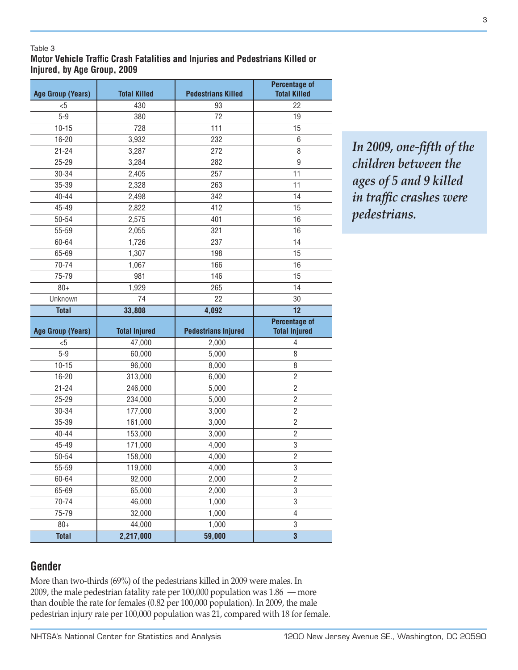#### Table 3

**Motor Vehicle Traffic Crash Fatalities and Injuries and Pedestrians Killed or Injured, by Age Group, 2009**

| <b>Age Group (Years)</b> | <b>Total Killed</b>  | <b>Pedestrians Killed</b>  | <b>Percentage of</b><br><b>Total Killed</b>  |
|--------------------------|----------------------|----------------------------|----------------------------------------------|
| $5$                      | 430                  | 93                         | 22                                           |
| $5 - 9$                  | 380                  | 72                         | 19                                           |
| $10 - 15$                | 728                  | 111                        | 15                                           |
| 16-20                    | 3,932                | 232                        | 6                                            |
| $21 - 24$                | 3,287                | 272                        | 8                                            |
| $25 - 29$                | 3,284                | 282                        | 9                                            |
| 30-34                    | 2,405                | 257                        | 11                                           |
| 35-39                    | 2,328                | 263                        | 11                                           |
| $40 - 44$                | 2,498                | 342                        | 14                                           |
| 45-49                    | 2,822                | 412                        | 15                                           |
| 50-54                    | 2,575                | 401                        | 16                                           |
| 55-59                    | 2,055                | 321                        | 16                                           |
| 60-64                    | 1,726                | 237                        | 14                                           |
| 65-69                    | 1,307                | 198                        | 15                                           |
| 70-74                    | 1,067                | 166                        | 16                                           |
| 75-79                    | 981                  | 146                        | 15                                           |
| $80+$                    | 1,929                | 265                        | 14                                           |
| Unknown                  | 74                   | 22                         | 30                                           |
| <b>Total</b>             | 33,808               | 4,092                      | 12                                           |
|                          |                      |                            |                                              |
| <b>Age Group (Years)</b> | <b>Total Injured</b> | <b>Pedestrians Injured</b> | <b>Percentage of</b><br><b>Total Injured</b> |
| $5$                      | 47,000               | 2,000                      | 4                                            |
| $5 - 9$                  | 60,000               | 5,000                      | 8                                            |
| $10 - 15$                | 96,000               | 8,000                      | 8                                            |
| 16-20                    | 313,000              | 6,000                      | $\overline{c}$                               |
| $21 - 24$                | 246,000              | 5,000                      | $\overline{2}$                               |
| $25 - 29$                | 234,000              | 5,000                      | $\overline{2}$                               |
| 30-34                    | 177,000              | 3,000                      | $\overline{2}$                               |
| 35-39                    | 161,000              | 3,000                      | $\overline{c}$                               |
| $40 - 44$                | 153,000              | 3,000                      | $\overline{2}$                               |
| 45-49                    | 171,000              | 4,000                      | 3                                            |
| 50-54                    | 158,000              | 4,000                      | $\overline{2}$                               |
| 55-59                    | 119,000              | 4,000                      | 3                                            |
| 60-64                    | 92,000               | 2,000                      | $\overline{2}$                               |
| 65-69                    | 65,000               | 2,000                      | 3                                            |
| 70-74                    | 46,000               | 1,000                      | $\,3$                                        |
| 75-79                    | 32,000               | 1,000                      | $\overline{4}$                               |
| $80+$                    | 44,000<br>2,217,000  | 1,000                      | $\,3$                                        |

*In 2009, one-fifth of the children between the ages of 5 and 9 killed in traffic crashes were pedestrians.*

# **Gender**

More than two-thirds (69%) of the pedestrians killed in 2009 were males. In 2009, the male pedestrian fatality rate per 100,000 population was 1.86 — more than double the rate for females (0.82 per 100,000 population). In 2009, the male pedestrian injury rate per 100,000 population was 21, compared with 18 for female.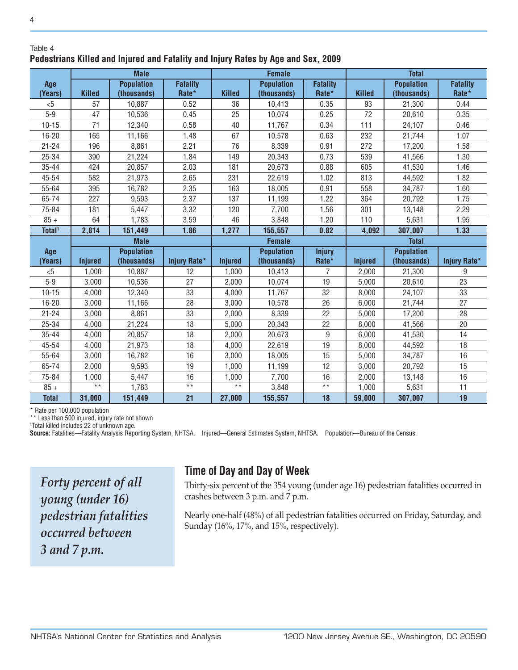### Table 4 **Pedestrians Killed and Injured and Fatality and Injury Rates by Age and Sex, 2009**

|                    |                 | <b>Male</b>       |                     |                | <b>Female</b>     |                 | <b>Total</b>   |                   |                     |
|--------------------|-----------------|-------------------|---------------------|----------------|-------------------|-----------------|----------------|-------------------|---------------------|
| Age                |                 | <b>Population</b> | <b>Fatality</b>     |                | <b>Population</b> | <b>Fatality</b> |                | <b>Population</b> | <b>Fatality</b>     |
| (Years)            | <b>Killed</b>   | (thousands)       | Rate*               | <b>Killed</b>  | (thousands)       | Rate*           | <b>Killed</b>  | (thousands)       | Rate*               |
| $5$                | 57              | 10,887            | 0.52                | 36             | 10,413            | 0.35            | 93             | 21,300            | 0.44                |
| $5 - 9$            | 47              | 10,536            | 0.45                | 25             | 10,074            | 0.25            | 72             | 20,610            | 0.35                |
| $10 - 15$          | 71              | 12,340            | 0.58                | 40             | 11,767            | 0.34            | 111            | 24,107            | 0.46                |
| $16 - 20$          | 165             | 11,166            | 1.48                | 67             | 10,578            | 0.63            | 232            | 21,744            | 1.07                |
| $21 - 24$          | 196             | 8,861             | 2.21                | 76             | 8,339             | 0.91            | 272            | 17,200            | 1.58                |
| 25-34              | 390             | 21,224            | 1.84                | 149            | 20,343            | 0.73            | 539            | 41,566            | 1.30                |
| $35 - 44$          | 424             | 20,857            | 2.03                | 181            | 20,673            | 0.88            | 605            | 41,530            | 1.46                |
| 45-54              | 582             | 21,973            | 2.65                | 231            | 22,619            | 1.02            | 813            | 44,592            | 1.82                |
| 55-64              | 395             | 16,782            | 2.35                | 163            | 18,005            | 0.91            | 558            | 34,787            | 1.60                |
| 65-74              | 227             | 9,593             | 2.37                | 137            | 11,199            | 1.22            | 364            | 20,792            | 1.75                |
| 75-84              | 181             | 5,447             | 3.32                | 120            | 7,700             | 1.56            | 301            | 13,148            | 2.29                |
| $85 +$             | 64              | 1,783             | 3.59                | 46             | 3,848             | 1.20            | 110            | 5,631             | 1.95                |
| Total <sup>1</sup> | 2,814           | 151,449           | 1.86                | 1,277          | 155,557           | 0.82            | 4,092          | 307,007           | 1.33                |
|                    |                 | <b>Male</b>       |                     | <b>Female</b>  |                   |                 | <b>Total</b>   |                   |                     |
| Age                |                 | <b>Population</b> |                     |                | <b>Population</b> | <b>Injury</b>   |                | <b>Population</b> |                     |
| (Years)            | <b>Injured</b>  | (thousands)       | <b>Injury Rate*</b> | <b>Injured</b> | (thousands)       | Rate*           | <b>Injured</b> | (thousands)       | <b>Injury Rate*</b> |
| $5$                | 1,000           | 10,887            | 12                  | 1,000          | 10,413            | 7               | 2,000          | 21,300            | 9                   |
| $5 - 9$            | 3,000           | 10,536            | 27                  | 2,000          | 10,074            | 19              | 5,000          | 20,610            | 23                  |
| $10 - 15$          | 4,000           | 12,340            | 33                  | 4,000          | 11,767            | 32              | 8,000          | 24,107            | 33                  |
| $16 - 20$          | 3,000           | 11,166            | 28                  | 3,000          | 10,578            | 26              | 6,000          | 21,744            | 27                  |
| $21 - 24$          | 3,000           | 8,861             | 33                  | 2,000          | 8,339             | 22              | 5,000          | 17,200            | 28                  |
| 25-34              | 4,000           | 21,224            | 18                  | 5,000          | 20,343            | 22              | 8,000          | 41,566            | 20                  |
| $35 - 44$          | 4,000           | 20,857            | 18                  | 2,000          | 20,673            | 9               | 6,000          | 41,530            | 14                  |
| 45-54              | 4,000           | 21,973            | 18                  | 4,000          | 22,619            | 19              | 8,000          | 44,592            | 18                  |
| 55-64              | 3,000           | 16,782            | 16                  | 3,000          | 18,005            | 15              | 5,000          | 34,787            | 16                  |
| 65-74              | 2,000           | 9,593             | 19                  | 1,000          | 11,199            | 12              | 3,000          | 20,792            | 15                  |
| 75-84              | 1,000           | 5,447             | 16                  | 1,000          | 7,700             | 16              | 2,000          | 13,148            | 16                  |
| $85 +$             | $\star$ $\star$ | 1,783             | $\star \star$       | $\star\star$   | 3,848             | $\star$ $\star$ | 1,000          | 5,631             | 11                  |
| <b>Total</b>       | 31,000          | 151,449           | 21                  | 27,000         | 155,557           | 18              | 59,000         | 307,007           | 19                  |

\* Rate per 100,000 population

\*\* Less than 500 injured, injury rate not shown

1 Total killed includes 22 of unknown age.

**Source:** Fatalities—Fatality Analysis Reporting System, NHTSA. Injured—General Estimates System, NHTSA. Population—Bureau of the Census.

*Forty percent of all young (under 16) pedestrian fatalities occurred between 3 and 7 p.m.*

# **Time of Day and Day of Week**

Thirty-six percent of the 354 young (under age 16) pedestrian fatalities occurred in crashes between 3 p.m. and 7 p.m.

Nearly one-half (48%) of all pedestrian fatalities occurred on Friday, Saturday, and Sunday (16%, 17%, and 15%, respectively).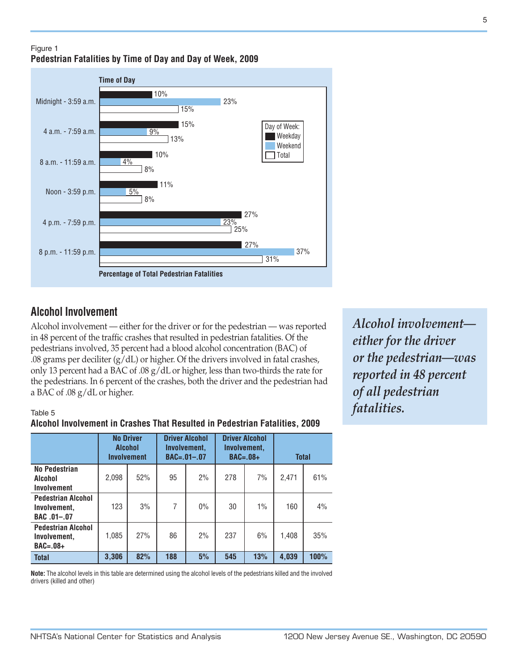## Figure 1 **Pedestrian Fatalities by Time of Day and Day of Week, 2009**



# **Alcohol Involvement**

Alcohol involvement — either for the driver or for the pedestrian — was reported in 48 percent of the traffic crashes that resulted in pedestrian fatalities. Of the pedestrians involved, 35 percent had a blood alcohol concentration (BAC) of .08 grams per deciliter  $(g/dL)$  or higher. Of the drivers involved in fatal crashes, only 13 percent had a BAC of .08 g/dL or higher, less than two-thirds the rate for the pedestrians. In 6 percent of the crashes, both the driver and the pedestrian had a BAC of .08 g/dL or higher.

## Table 5

## **Alcohol Involvement in Crashes That Resulted in Pedestrian Fatalities, 2009**

|                                                          | <b>No Driver</b><br><b>Alcohol</b><br><b>Involvement</b> |     |     | <b>Driver Alcohol</b><br>Involvement.<br>$BAC = .01 - .07$ | <b>Driver Alcohol</b><br>Involvement.<br>$BAC=.08+$ |     | <b>Total</b> |      |
|----------------------------------------------------------|----------------------------------------------------------|-----|-----|------------------------------------------------------------|-----------------------------------------------------|-----|--------------|------|
| No Pedestrian<br>Alcohol<br>Involvement                  | 2,098                                                    | 52% | 95  | 2%                                                         | 278                                                 | 7%  | 2,471        | 61%  |
| <b>Pedestrian Alcohol</b><br>Involvement.<br>BAC .01-.07 | 123                                                      | 3%  | 7   | 0%                                                         | 30                                                  | 1%  | 160          | 4%   |
| <b>Pedestrian Alcohol</b><br>Involvement.<br>$BAC=.08+$  | 1,085                                                    | 27% | 86  | 2%                                                         | 237                                                 | 6%  | 1,408        | 35%  |
| <b>Total</b>                                             | 3,306                                                    | 82% | 188 | 5%                                                         | 545                                                 | 13% | 4,039        | 100% |

**Note:** The alcohol levels in this table are determined using the alcohol levels of the pedestrians killed and the involved drivers (killed and other)

*Alcohol involvement either for the driver or the pedestrian—was reported in 48 percent of all pedestrian fatalities.*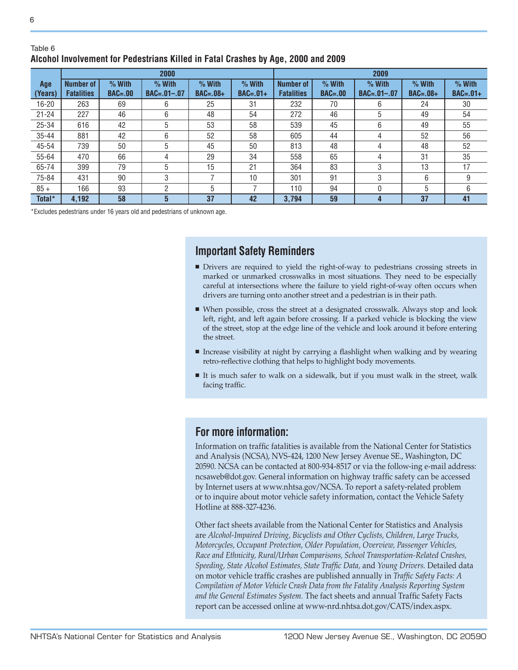#### Table 6 **Alcohol Involvement for Pedestrians Killed in Fatal Crashes by Age, 2000 and 2009**

|                | 2000                                  |                         |                               |                        |                        |                                       |                         | 2009                          |                        |                        |
|----------------|---------------------------------------|-------------------------|-------------------------------|------------------------|------------------------|---------------------------------------|-------------------------|-------------------------------|------------------------|------------------------|
| Age<br>(Years) | <b>Number of</b><br><b>Fatalities</b> | $%$ With<br>$BAC = .00$ | $%$ With<br>$BAC = .01 - .07$ | $%$ With<br>$BAC=.08+$ | $%$ With<br>$BAC=.01+$ | <b>Number of</b><br><b>Fatalities</b> | $%$ With<br>$BAC = .00$ | $%$ With<br>$BAC = .01 - .07$ | $%$ With<br>$BAC=.08+$ | $%$ With<br>$BAC=.01+$ |
| 16-20          | 263                                   | 69                      | 6                             | 25                     | 31                     | 232                                   | 70                      | 6                             | 24                     | 30                     |
| $21 - 24$      | 227                                   | 46                      | 6                             | 48                     | 54                     | 272                                   | 46                      | 5                             | 49                     | 54                     |
| 25-34          | 616                                   | 42                      | 5                             | 53                     | 58                     | 539                                   | 45                      | 6                             | 49                     | 55                     |
| $35 - 44$      | 881                                   | 42                      | 6                             | 52                     | 58                     | 605                                   | 44                      | 4                             | 52                     | 56                     |
| 45-54          | 739                                   | 50                      | 5                             | 45                     | 50                     | 813                                   | 48                      | 4                             | 48                     | 52                     |
| 55-64          | 470                                   | 66                      | 4                             | 29                     | 34                     | 558                                   | 65                      | 4                             | 31                     | 35                     |
| 65-74          | 399                                   | 79                      | 5                             | 15                     | 21                     | 364                                   | 83                      | 3                             | 13                     | 17                     |
| 75-84          | 431                                   | 90                      | 3                             |                        | 10                     | 301                                   | 91                      | 3                             | 6                      | 9                      |
| $85 +$         | 166                                   | 93                      | 2                             | 5                      |                        | 110                                   | 94                      | $\Omega$                      | 5                      | 6                      |
| Total*         | 4,192                                 | 58                      | 5                             | 37                     | 42                     | 3.794                                 | 59                      | 4                             | 37                     | 41                     |

\*Excludes pedestrians under 16 years old and pedestrians of unknown age.

# **Important Safety Reminders**

- <sup>n</sup> Drivers are required to yield the right-of-way to pedestrians crossing streets in marked or unmarked crosswalks in most situations. They need to be especially careful at intersections where the failure to yield right-of-way often occurs when drivers are turning onto another street and a pedestrian is in their path.
- <sup>n</sup> When possible, cross the street at a designated crosswalk. Always stop and look left, right, and left again before crossing. If a parked vehicle is blocking the view of the street, stop at the edge line of the vehicle and look around it before entering the street.
- <sup>n</sup> Increase visibility at night by carrying a flashlight when walking and by wearing retro-reflective clothing that helps to highlight body movements.
- <sup>n</sup> It is much safer to walk on a sidewalk, but if you must walk in the street, walk facing traffic.

## **For more information:**

Information on traffic fatalities is available from the National Center for Statistics and Analysis (NCSA), NVS-424, 1200 New Jersey Avenue SE., Washington, DC 20590. NCSA can be contacted at 800-934-8517 or via the follow-ing e-mail address: ncsaweb@dot.gov. General information on highway traffic safety can be accessed by Internet users at www.nhtsa.gov/NCSA. To report a safety-related problem or to inquire about motor vehicle safety information, contact the Vehicle Safety Hotline at 888-327-4236.

Other fact sheets available from the National Center for Statistics and Analysis are *Alcohol-Impaired Driving, Bicyclists and Other Cyclists, Children, Large Trucks, Motorcycles, Occupant Protection, Older Population, Overview, Passenger Vehicles, Race and Ethnicity, Rural/Urban Comparisons, School Transportation-Related Crashes, Speeding, State Alcohol Estimates, State Traffic Data,* and *Young Drivers.* Detailed data on motor vehicle traffic crashes are published annually in *Traffic Safety Facts: A Compilation of Motor Vehicle Crash Data from the Fatality Analysis Reporting System and the General Estimates System.* The fact sheets and annual Traffic Safety Facts report can be accessed online at www-nrd.nhtsa.dot.gov/CATS/index.aspx.